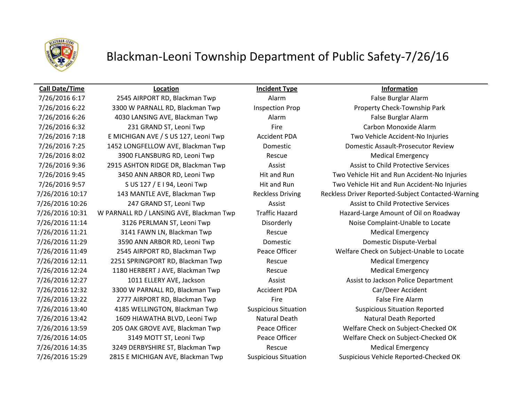

## Blackman-Leoni Township Department of Public Safety-7/26/16

### **Call Date/Time Location Incident Type Information**

7/26/2016 6:17 2545 AIRPORT RD, Blackman Twp Alarm False Burglar Alarm 7/26/2016 6:22 3300 W PARNALL RD, Blackman Twp Inspection Prop Property Check-Township Park 7/26/2016 6:26 4030 LANSING AVE, Blackman Twp Alarm False Burglar Alarm 7/26/2016 6:32 **231 GRAND ST, Leoni Twp** Fire Fire Carbon Monoxide Alarm 7/26/2016 7:18 E MICHIGAN AVE / S US 127, Leoni Twp Accident PDA Two Vehicle Accident-No Injuries 7/26/2016 7:25 1452 LONGFELLOW AVE, Blackman Twp Domestic Domestic Assault-Prosecutor Review 7/26/2016 8:02 3900 FLANSBURG RD, Leoni Twp Rescue Rescue Medical Emergency 7/26/2016 9:36 2915 ASHTON RIDGE DR, Blackman Twp Assist Assist Assist to Child Protective Services 7/26/2016 10:26 247 GRAND ST, Leoni Twp Assist Assist Assist Assist to Child Protective Services 7/26/2016 10:31 W PARNALL RD / LANSING AVE, Blackman Twp Traffic Hazard Hazard-Large Amount of Oil on Roadway 7/26/2016 11:14 3126 PERLMAN ST, Leoni Twp Disorderly Noise Complaint-Unable to Locate 7/26/2016 11:21 3141 FAWN LN, Blackman Twp Rescue Medical Emergency 7/26/2016 11:29 3590 ANN ARBOR RD, Leoni Twp Domestic Domestic Dispute-Verbal 7/26/2016 11:49 2545 AIRPORT RD, Blackman Twp Peace Officer Welfare Check on Subject-Unable to Locate 7/26/2016 12:11 2251 SPRINGPORT RD, Blackman Twp Rescue Medical Emergency 7/26/2016 12:24 1180 HERBERT J AVE, Blackman Twp Rescue Rescue Medical Emergency 7/26/2016 12:27 1011 ELLERY AVE, Jackson Assist Assist Assist to Jackson Police Department 7/26/2016 12:32 3300 W PARNALL RD, Blackman Twp Accident PDA Car/Deer Accident 7/26/2016 13:22 2777 AIRPORT RD, Blackman Twp Fire Fire Fire False Fire Alarm 7/26/2016 13:40 4185 WELLINGTON, Blackman Twp Suspicious Situation Suspicious Situation Reported 7/26/2016 13:42 1609 HIAWATHA BLVD, Leoni Twp Natural Death Natural Death Natural Death Reported 7/26/2016 13:59 205 OAK GROVE AVE, Blackman Twp Peace Officer Welfare Check on Subject-Checked OK 7/26/2016 14:05 3149 MOTT ST, Leoni Twp Peace Officer Welfare Check on Subject-Checked OK 7/26/2016 14:35 3249 DERBYSHIRE ST, Blackman Twp Rescue Rescue Medical Emergency

7/26/2016 9:45 3450 ANN ARBOR RD, Leoni Twp Hit and Run Two Vehicle Hit and Run Accident-No Injuries 7/26/2016 9:57 S US 127 / E I 94, Leoni Twp Hit and Run Two Vehicle Hit and Run Accident-No Injuries 7/26/2016 10:17 143 MANTLE AVE, Blackman Twp Reckless Driving Reckless Driver Reported-Subject Contacted-Warning 7/26/2016 15:29 2815 E MICHIGAN AVE, Blackman Twp Suspicious Situation Suspicious Vehicle Reported-Checked OK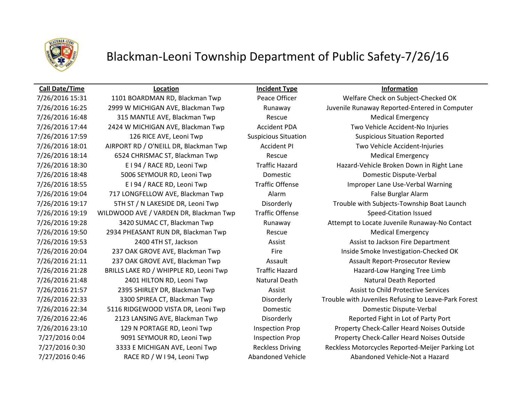

## Blackman-Leoni Township Department of Public Safety-7/26/16

7/26/2016 16:48 315 MANTLE AVE, Blackman Twp Rescue Rescue Medical Emergency 7/26/2016 17:59 126 RICE AVE, Leoni Twp Suspicious Situation Suspicious Situation Reported 7/26/2016 18:01 AIRPORT RD / O'NEILL DR, Blackman Twp Accident PI Two Vehicle Accident-Injuries 7/26/2016 18:14 6524 CHRISMAC ST, Blackman Twp Rescue Medical Emergency 7/26/2016 18:48 5006 SEYMOUR RD, Leoni Twp Domestic Domestic Dispute-Verbal 7/26/2016 19:04 717 LONGFELLOW AVE, Blackman Twp Alarm Alarm Alarm False Burglar Alarm 7/26/2016 19:19 WILDWOOD AVE / VARDEN DR, Blackman Twp Traffic Offense Speed-Citation Issued 7/26/2016 19:50 2934 PHEASANT RUN DR, Blackman Twp Rescue Rescue Medical Emergency 7/26/2016 21:28 BRILLS LAKE RD / WHIPPLE RD, Leoni Twp Traffic Hazard Hazard-Low Hanging Tree Limb 7/26/2016 21:48 2401 HILTON RD, Leoni Twp Natural Death Neath Natural Death Reported 7/26/2016 22:34 5116 RIDGEWOOD VISTA DR, Leoni Twp Domestic Domestic Dispute-Verbal 7/27/2016 0:46 RACE RD / W I 94, Leoni Twp **Abandoned Vehicle** Abandoned Vehicle-Not a Hazard

**Call Date/Time Location Incident Type Information**

7/26/2016 15:31 1101 BOARDMAN RD, Blackman Twp Peace Officer Welfare Check on Subject-Checked OK 7/26/2016 16:25 2999 W MICHIGAN AVE, Blackman Twp Runaway Juvenile Runaway Reported-Entered in Computer 7/26/2016 17:44 2424 W MICHIGAN AVE, Blackman Twp Accident PDA Two Vehicle Accident-No Injuries 7/26/2016 18:30 E I 94 / RACE RD, Leoni Twp Traffic Hazard Hazard-Vehicle Broken Down in Right Lane 7/26/2016 18:55 E I 94 / RACE RD, Leoni Twp Traffic Offense Improper Lane Use-Verbal Warning 7/26/2016 19:17 5TH ST / N LAKESIDE DR, Leoni Twp Disorderly Trouble with Subjects-Township Boat Launch 7/26/2016 19:28 3420 SUMAC CT, Blackman Twp Runaway Attempt to Locate Juvenile Runaway-No Contact 7/26/2016 19:53 2400 4TH ST, Jackson Assist Assist to Jackson Fire Department 7/26/2016 20:04 237 OAK GROVE AVE, Blackman Twp Fire Fire Inside Smoke Investigation-Checked OK 7/26/2016 21:11 237 OAK GROVE AVE, Blackman Twp Assault Assault Assault Report-Prosecutor Review 7/26/2016 21:57 2395 SHIRLEY DR, Blackman Twp Assist Assist to Child Protective Services 7/26/2016 22:33 3300 SPIREA CT, Blackman Twp Disorderly Trouble with Juveniles Refusing to Leave-Park Forest 7/26/2016 22:46 2123 LANSING AVE, Blackman Twp Disorderly Reported Fight in Lot of Party Port 7/26/2016 23:10 129 N PORTAGE RD, Leoni Twp Inspection Prop Property Check-Caller Heard Noises Outside 7/27/2016 0:04 9091 SEYMOUR RD, Leoni Twp Inspection Prop Property Check-Caller Heard Noises Outside 7/27/2016 0:30 3333 E MICHIGAN AVE, Leoni Twp Reckless Driving Reckless Motorcycles Reported-Meijer Parking Lot